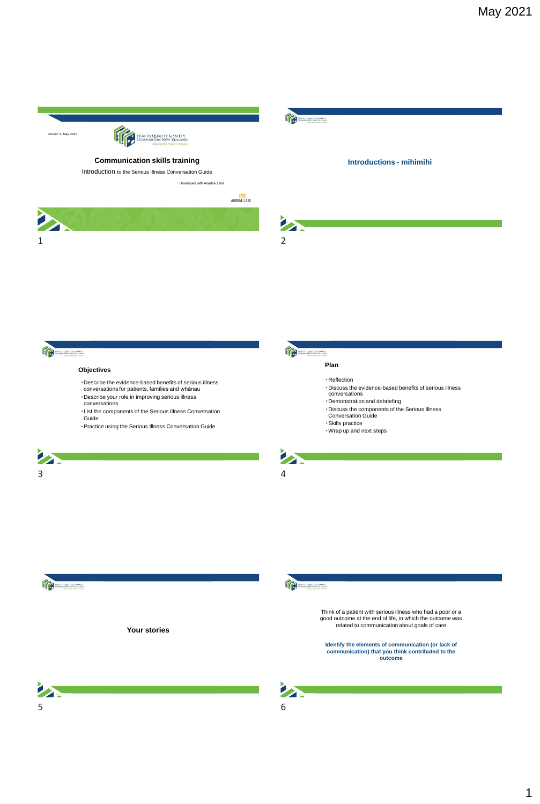

**If a community** 

**Your stories**



Think of a patient with serious illness who had a poor or a good outcome at the end of life, in which the outcome was related to communication about goals of care

**Identify the elements of communication (or lack of communication) that you think contributed to the outcome** 



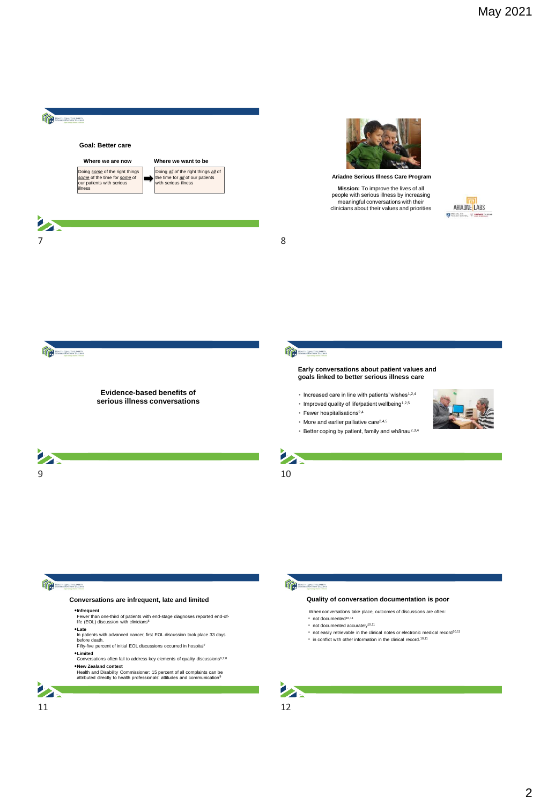



**Ariadne Serious Illness Care Program**

people with serious illness by increasing meaningful conversations with their clinicians about their values and priorities

ARIADNE LABS



 $\sum_{i=1}^{n}$ 

#### **Evidence-based benefits of serious illness conversations**

#### **Early conversations about patient values and goals linked to better serious illness care**

- Increased care in line with patients' wishes1,2,4
- $*$  Improved quality of life/patient wellbeing<sup>1,2,5</sup>
- Fewer hospitalisations2,4
- More and earlier palliative care2,4,5
- Better coping by patient, family and whānau2,3,4





## TC

#### **Conversations are infrequent, late and limited**

•**Infrequent** Fewer than one-third of patients with end-stage diagnoses reported end-of-life (EOL) discussion with clinicians<sup>6</sup>

- 
- **•Late**<br>In patients with advanced cancer, first EOL discussion took place 33 days<br>before death.<br>Fifty-five percent of initial EOL discussions occurred in hospital<sup>7</sup>
- 
- •**Limited** Conversations often fail to address key elements of quality discussions6,7,8

•**New Zealand context** Health and Disability Commissioner: 15 percent of all complaints can be attributed directly to health professionals' attitudes and communication<sup>9</sup>





#### **Quality of conversation documentation is poor**

When conversations take place, outcomes of discussions are often:

- not documented10,11 • not documented accurately10,11
- 
- not easily retrievable in the clinical notes or electronic medical record<sup>10,11</sup> • in conflict with other information in the clinical record.10,11
- 



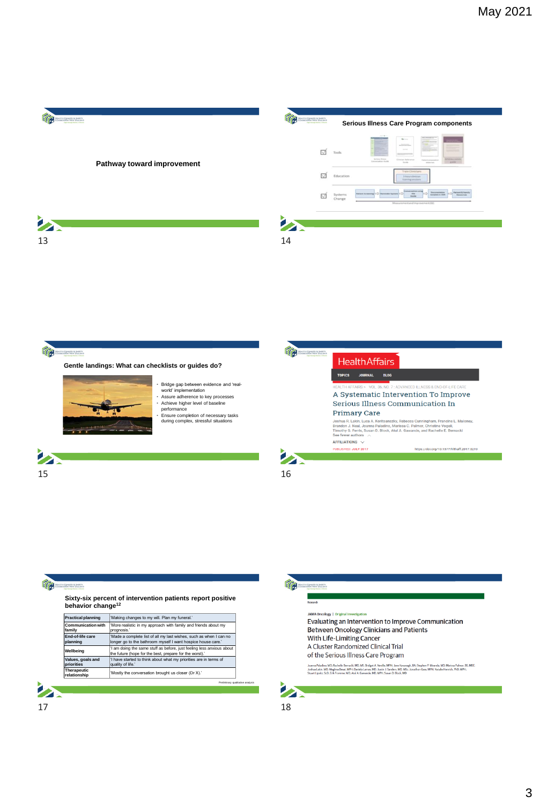



## Re

**Sixty-six percent of intervention patients report positive behavior change<sup>12</sup>**

| 'More realistic in my approach with family and friends about my<br>prognosis.'                                                     |
|------------------------------------------------------------------------------------------------------------------------------------|
| 'Made a complete list of all my last wishes, such as when I can no<br>longer go to the bathroom myself I want hospice house care." |
| 'I am doing the same stuff as before, just feeling less anxious about<br>the future (hope for the best, prepare for the worst).'   |
| 'I have started to think about what my priorities are in terms of<br>quality of life.'                                             |
| 'Mostly the conversation brought us closer (Dr X).'                                                                                |
|                                                                                                                                    |



Tra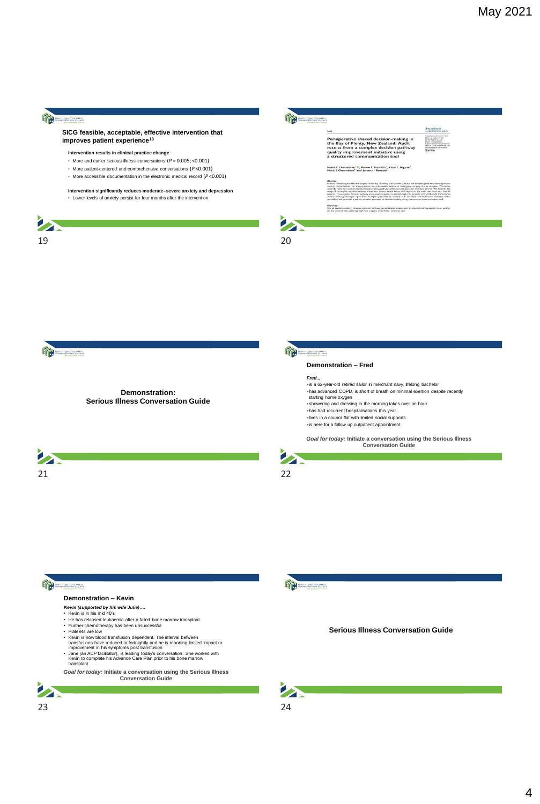## **Transman**

#### **SICG feasible, acceptable, effective intervention that improves patient experience<sup>13</sup>**

#### **Intervention results in clinical practice change**:

- More and earlier serious illness conversations (*P* = 0.005; <0.001)
- More patient-centered and comprehensive conversations (*P* <0.001)
- More accessible documentation in the electronic medical record (*P* <0.001)

**Intervention significantly reduces moderate–severe anxiety and depression** • Lower levels of anxiety persist for four months after the intervention





Keywords<br>Stared decision-ma<br>srative advance car perioperative assessment

teachas<br>1919, Ne 4830, 473–474<br>13 The Audusta 1938

 $\mathbf{z}$ 

Transmission





**Demonstration: Serious Illness Conversation Guide**



#### **Demonstration – Fred**

#### *Fred...*

•is a 62-year-old retired sailor in merchant navy, lifelong bachelor •has advanced COPD, is short of breath on minimal exertion despite recently starting home oxygen •showering and dressing in the morning takes over an hour •has had recurrent hospitalisations this year •lives in a council flat with limited social supports •is here for a follow up outpatient appointment

*Goal for today:* **Initiate a conversation using the Serious Illness Conversation Guide**



# 么



# Transmission

### **Demonstration – Kevin**

- 
- *Kevin (supported by his wife Julie)....*<br>• Kevin is in his mid 40's<br>• He has relapsed leukaemia after a failed bone marrow transplant<br>• Further chemotherapy has been unsuccessful
- 
- 
- 
- Platelets are low<br>
 Kevin is now blood transfusion dependent. The interval between<br>
transfusions have reduced to fortnightly and he is reporting limited impact or<br>
improvement in his symptoms post transfusion<br>
 Jane (a
- 

*Goal for today:* **Initiate a conversation using the Serious Illness Conversation Guide**





**Serious Illness Conversation Guide**







4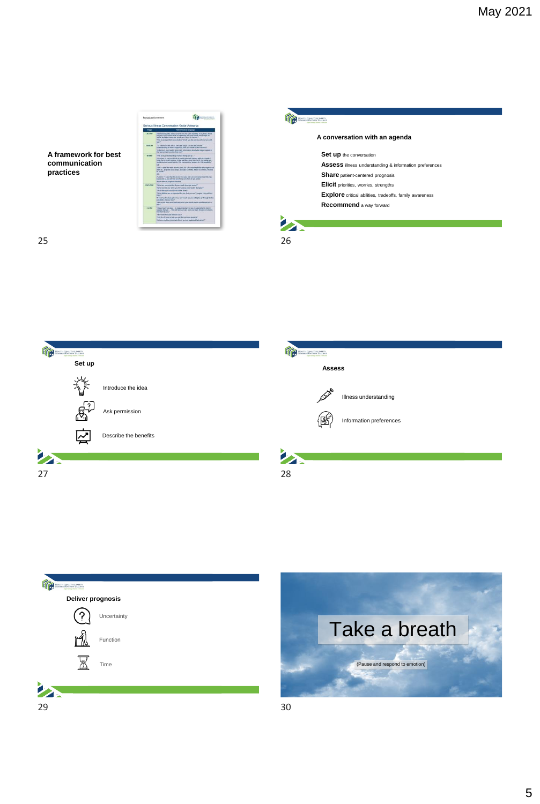

Tra 听 **Set up Assess**  漛 Introduce the idea Illness understanding Ask permission Information preferences 区 Describe the benefits **Participation** Z  $27$  28



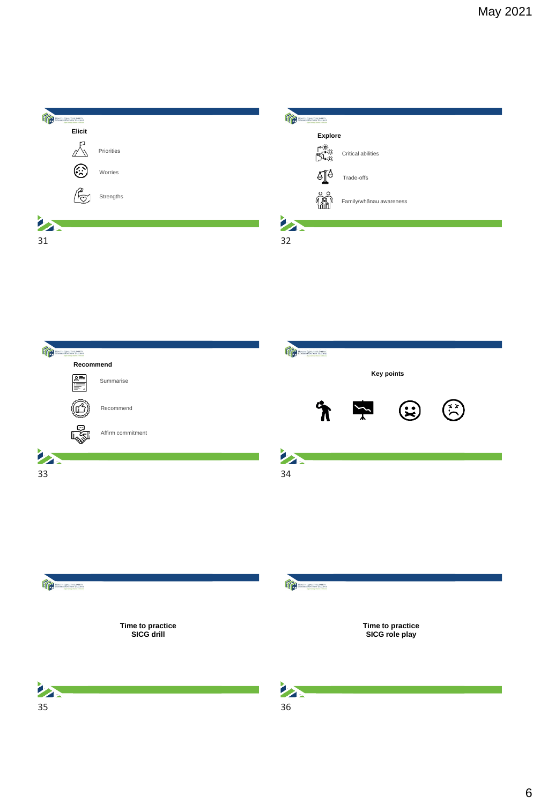